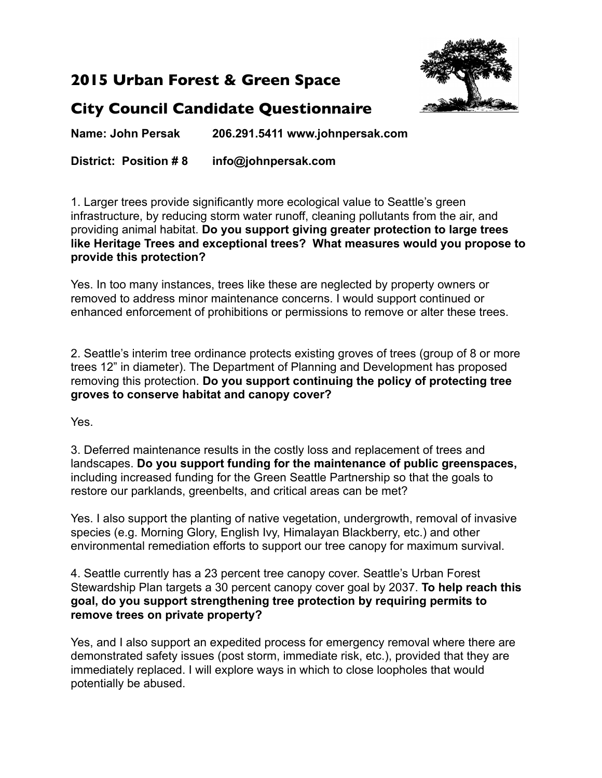## **2015 Urban Forest & Green Space**



## **City Council Candidate Questionnaire**

**Name: John Persak 206.291.5411 www.johnpersak.com**

**District: Position # 8 info@johnpersak.com**

1. Larger trees provide significantly more ecological value to Seattle's green infrastructure, by reducing storm water runoff, cleaning pollutants from the air, and providing animal habitat. **Do you support giving greater protection to large trees like Heritage Trees and exceptional trees? What measures would you propose to provide this protection?**

Yes. In too many instances, trees like these are neglected by property owners or removed to address minor maintenance concerns. I would support continued or enhanced enforcement of prohibitions or permissions to remove or alter these trees.

2. Seattle's interim tree ordinance protects existing groves of trees (group of 8 or more trees 12" in diameter). The Department of Planning and Development has proposed removing this protection. **Do you support continuing the policy of protecting tree groves to conserve habitat and canopy cover?**

Yes.

3. Deferred maintenance results in the costly loss and replacement of trees and landscapes. **Do you support funding for the maintenance of public greenspaces,** including increased funding for the Green Seattle Partnership so that the goals to restore our parklands, greenbelts, and critical areas can be met?

Yes. I also support the planting of native vegetation, undergrowth, removal of invasive species (e.g. Morning Glory, English Ivy, Himalayan Blackberry, etc.) and other environmental remediation efforts to support our tree canopy for maximum survival.

4. Seattle currently has a 23 percent tree canopy cover. Seattle's Urban Forest Stewardship Plan targets a 30 percent canopy cover goal by 2037. **To help reach this goal, do you support strengthening tree protection by requiring permits to remove trees on private property?**

Yes, and I also support an expedited process for emergency removal where there are demonstrated safety issues (post storm, immediate risk, etc.), provided that they are immediately replaced. I will explore ways in which to close loopholes that would potentially be abused.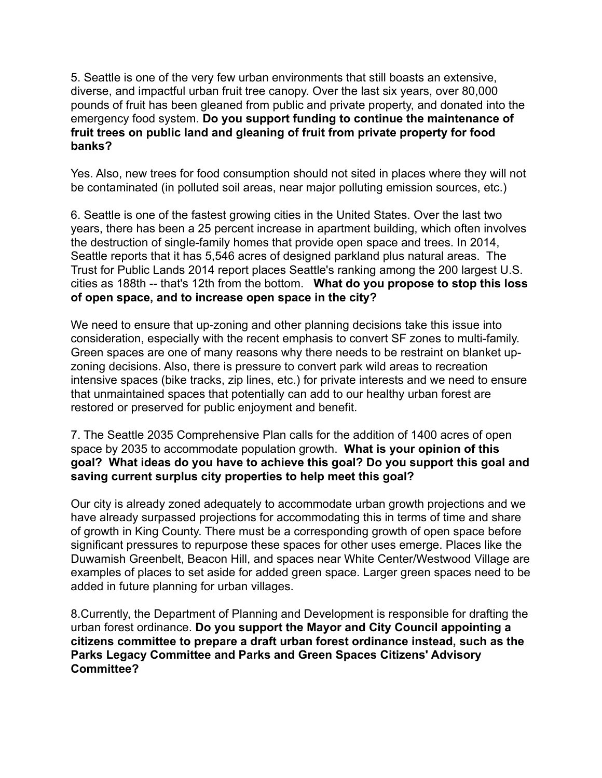5. Seattle is one of the very few urban environments that still boasts an extensive, diverse, and impactful urban fruit tree canopy. Over the last six years, over 80,000 pounds of fruit has been gleaned from public and private property, and donated into the emergency food system. **Do you support funding to continue the maintenance of fruit trees on public land and gleaning of fruit from private property for food banks?**

Yes. Also, new trees for food consumption should not sited in places where they will not be contaminated (in polluted soil areas, near major polluting emission sources, etc.)

6. Seattle is one of the fastest growing cities in the United States. Over the last two years, there has been a 25 percent increase in apartment building, which often involves the destruction of single-family homes that provide open space and trees. In 2014, Seattle reports that it has 5,546 acres of designed parkland plus natural areas. The Trust for Public Lands 2014 report places Seattle's ranking among the 200 largest U.S. cities as 188th -- that's 12th from the bottom. **What do you propose to stop this loss of open space, and to increase open space in the city?**

We need to ensure that up-zoning and other planning decisions take this issue into consideration, especially with the recent emphasis to convert SF zones to multi-family. Green spaces are one of many reasons why there needs to be restraint on blanket upzoning decisions. Also, there is pressure to convert park wild areas to recreation intensive spaces (bike tracks, zip lines, etc.) for private interests and we need to ensure that unmaintained spaces that potentially can add to our healthy urban forest are restored or preserved for public enjoyment and benefit.

7. The Seattle 2035 Comprehensive Plan calls for the addition of 1400 acres of open space by 2035 to accommodate population growth. **What is your opinion of this goal? What ideas do you have to achieve this goal? Do you support this goal and saving current surplus city properties to help meet this goal?**

Our city is already zoned adequately to accommodate urban growth projections and we have already surpassed projections for accommodating this in terms of time and share of growth in King County. There must be a corresponding growth of open space before significant pressures to repurpose these spaces for other uses emerge. Places like the Duwamish Greenbelt, Beacon Hill, and spaces near White Center/Westwood Village are examples of places to set aside for added green space. Larger green spaces need to be added in future planning for urban villages.

8.Currently, the Department of Planning and Development is responsible for drafting the urban forest ordinance. **Do you support the Mayor and City Council appointing a citizens committee to prepare a draft urban forest ordinance instead, such as the Parks Legacy Committee and Parks and Green Spaces Citizens' Advisory Committee?**